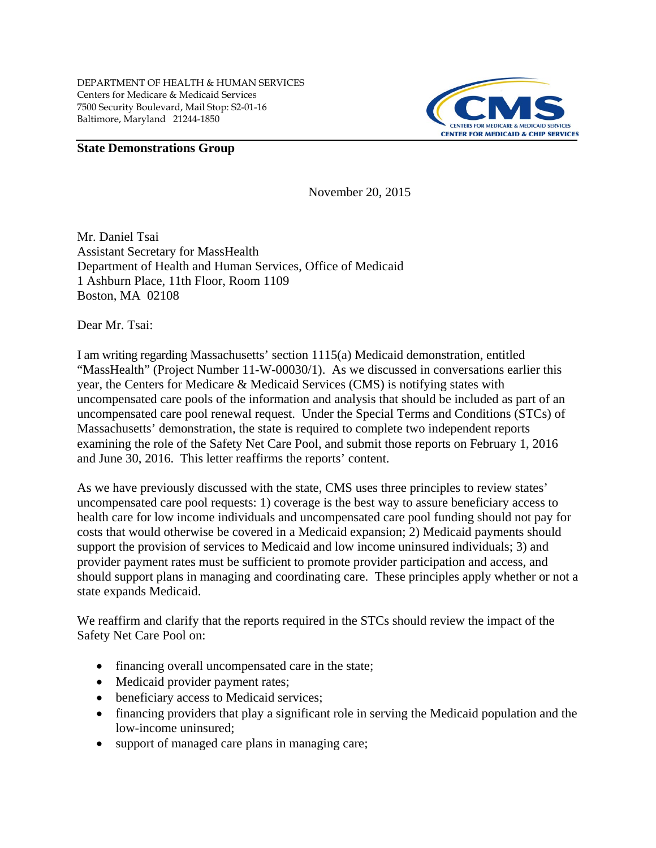

## **State Demonstrations Group**

November 20, 2015

Mr. Daniel Tsai Assistant Secretary for MassHealth Department of Health and Human Services, Office of Medicaid 1 Ashburn Place, 11th Floor, Room 1109 Boston, MA 02108

Dear Mr. Tsai:

I am writing regarding Massachusetts' section 1115(a) Medicaid demonstration, entitled "MassHealth" (Project Number 11-W-00030/1). As we discussed in conversations earlier this year, the Centers for Medicare & Medicaid Services (CMS) is notifying states with uncompensated care pools of the information and analysis that should be included as part of an uncompensated care pool renewal request. Under the Special Terms and Conditions (STCs) of Massachusetts' demonstration, the state is required to complete two independent reports examining the role of the Safety Net Care Pool, and submit those reports on February 1, 2016 and June 30, 2016. This letter reaffirms the reports' content.

As we have previously discussed with the state, CMS uses three principles to review states' uncompensated care pool requests: 1) coverage is the best way to assure beneficiary access to health care for low income individuals and uncompensated care pool funding should not pay for costs that would otherwise be covered in a Medicaid expansion; 2) Medicaid payments should support the provision of services to Medicaid and low income uninsured individuals; 3) and provider payment rates must be sufficient to promote provider participation and access, and should support plans in managing and coordinating care. These principles apply whether or not a state expands Medicaid.

We reaffirm and clarify that the reports required in the STCs should review the impact of the Safety Net Care Pool on:

- financing overall uncompensated care in the state;
- Medicaid provider payment rates;
- beneficiary access to Medicaid services;
- financing providers that play a significant role in serving the Medicaid population and the low-income uninsured;
- support of managed care plans in managing care;